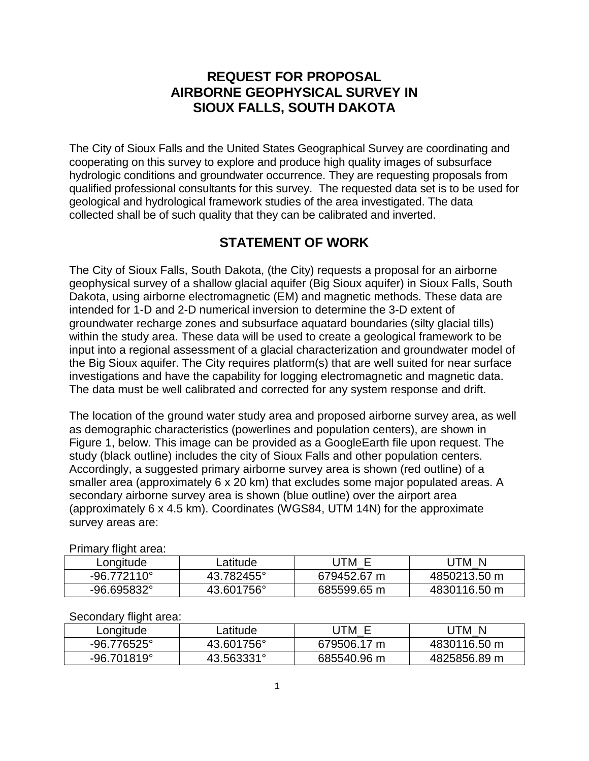# **REQUEST FOR PROPOSAL AIRBORNE GEOPHYSICAL SURVEY IN SIOUX FALLS, SOUTH DAKOTA**

The City of Sioux Falls and the United States Geographical Survey are coordinating and cooperating on this survey to explore and produce high quality images of subsurface hydrologic conditions and groundwater occurrence. They are requesting proposals from qualified professional consultants for this survey. The requested data set is to be used for geological and hydrological framework studies of the area investigated. The data collected shall be of such quality that they can be calibrated and inverted.

# **STATEMENT OF WORK**

The City of Sioux Falls, South Dakota, (the City) requests a proposal for an airborne geophysical survey of a shallow glacial aquifer (Big Sioux aquifer) in Sioux Falls, South Dakota, using airborne electromagnetic (EM) and magnetic methods. These data are intended for 1-D and 2-D numerical inversion to determine the 3-D extent of groundwater recharge zones and subsurface aquatard boundaries (silty glacial tills) within the study area. These data will be used to create a geological framework to be input into a regional assessment of a glacial characterization and groundwater model of the Big Sioux aquifer. The City requires platform(s) that are well suited for near surface investigations and have the capability for logging electromagnetic and magnetic data. The data must be well calibrated and corrected for any system response and drift.

The location of the ground water study area and proposed airborne survey area, as well as demographic characteristics (powerlines and population centers), are shown in Figure 1, below. This image can be provided as a GoogleEarth file upon request. The study (black outline) includes the city of Sioux Falls and other population centers. Accordingly, a suggested primary airborne survey area is shown (red outline) of a smaller area (approximately 6 x 20 km) that excludes some major populated areas. A secondary airborne survey area is shown (blue outline) over the airport area (approximately 6 x 4.5 km). Coordinates (WGS84, UTM 14N) for the approximate survey areas are:

| Fillidiy iliyin diga. |            |             |              |
|-----------------------|------------|-------------|--------------|
| Longitude             | -atitude   | JTM F       | -N<br>JTM    |
| $-96.772110^{\circ}$  | 43.782455° | 679452.67 m | 4850213.50 m |
| $-96.695832^{\circ}$  | 43.601756° | 685599.65 m | 4830116.50 m |

Primary flight area:

#### Secondary flight area:

| Longitude            | ∟atitude   | ∵ UTM       | JTM N        |
|----------------------|------------|-------------|--------------|
| $-96.776525^{\circ}$ | 43.601756° | 679506.17 m | 4830116.50 m |
| $-96.701819^{\circ}$ | 43.563331° | 685540.96 m | 4825856.89 m |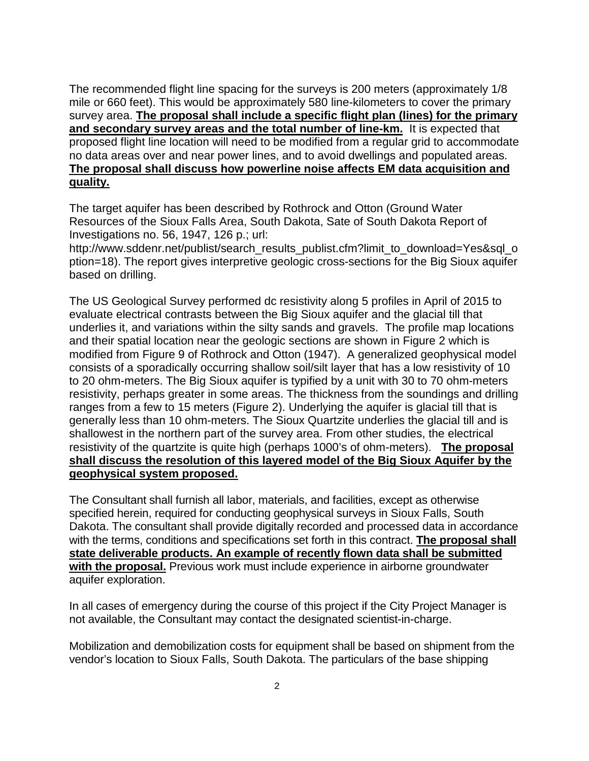The recommended flight line spacing for the surveys is 200 meters (approximately 1/8 mile or 660 feet). This would be approximately 580 line-kilometers to cover the primary survey area. **The proposal shall include a specific flight plan (lines) for the primary and secondary survey areas and the total number of line-km.** It is expected that proposed flight line location will need to be modified from a regular grid to accommodate no data areas over and near power lines, and to avoid dwellings and populated areas. **The proposal shall discuss how powerline noise affects EM data acquisition and quality.**

The target aquifer has been described by Rothrock and Otton (Ground Water Resources of the Sioux Falls Area, South Dakota, Sate of South Dakota Report of Investigations no. 56, 1947, 126 p.; url:

http://www.sddenr.net/publist/search\_results\_publist.cfm?limit\_to\_download=Yes&sql\_o ption=18). The report gives interpretive geologic cross-sections for the Big Sioux aquifer based on drilling.

The US Geological Survey performed dc resistivity along 5 profiles in April of 2015 to evaluate electrical contrasts between the Big Sioux aquifer and the glacial till that underlies it, and variations within the silty sands and gravels. The profile map locations and their spatial location near the geologic sections are shown in Figure 2 which is modified from Figure 9 of Rothrock and Otton (1947). A generalized geophysical model consists of a sporadically occurring shallow soil/silt layer that has a low resistivity of 10 to 20 ohm-meters. The Big Sioux aquifer is typified by a unit with 30 to 70 ohm-meters resistivity, perhaps greater in some areas. The thickness from the soundings and drilling ranges from a few to 15 meters (Figure 2). Underlying the aquifer is glacial till that is generally less than 10 ohm-meters. The Sioux Quartzite underlies the glacial till and is shallowest in the northern part of the survey area. From other studies, the electrical resistivity of the quartzite is quite high (perhaps 1000's of ohm-meters). **The proposal shall discuss the resolution of this layered model of the Big Sioux Aquifer by the geophysical system proposed.** 

The Consultant shall furnish all labor, materials, and facilities, except as otherwise specified herein, required for conducting geophysical surveys in Sioux Falls, South Dakota. The consultant shall provide digitally recorded and processed data in accordance with the terms, conditions and specifications set forth in this contract. **The proposal shall state deliverable products. An example of recently flown data shall be submitted with the proposal.** Previous work must include experience in airborne groundwater aquifer exploration.

In all cases of emergency during the course of this project if the City Project Manager is not available, the Consultant may contact the designated scientist-in-charge.

Mobilization and demobilization costs for equipment shall be based on shipment from the vendor's location to Sioux Falls, South Dakota. The particulars of the base shipping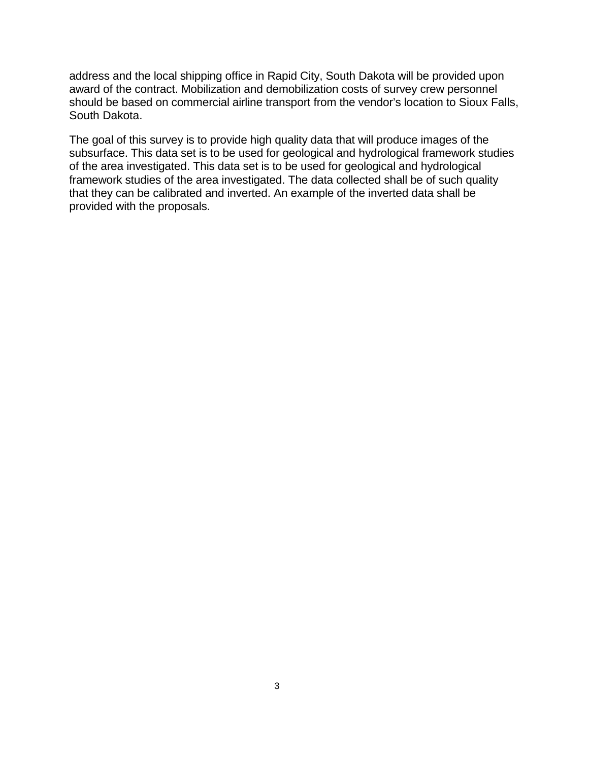address and the local shipping office in Rapid City, South Dakota will be provided upon award of the contract. Mobilization and demobilization costs of survey crew personnel should be based on commercial airline transport from the vendor's location to Sioux Falls, South Dakota.

The goal of this survey is to provide high quality data that will produce images of the subsurface. This data set is to be used for geological and hydrological framework studies of the area investigated. This data set is to be used for geological and hydrological framework studies of the area investigated. The data collected shall be of such quality that they can be calibrated and inverted. An example of the inverted data shall be provided with the proposals.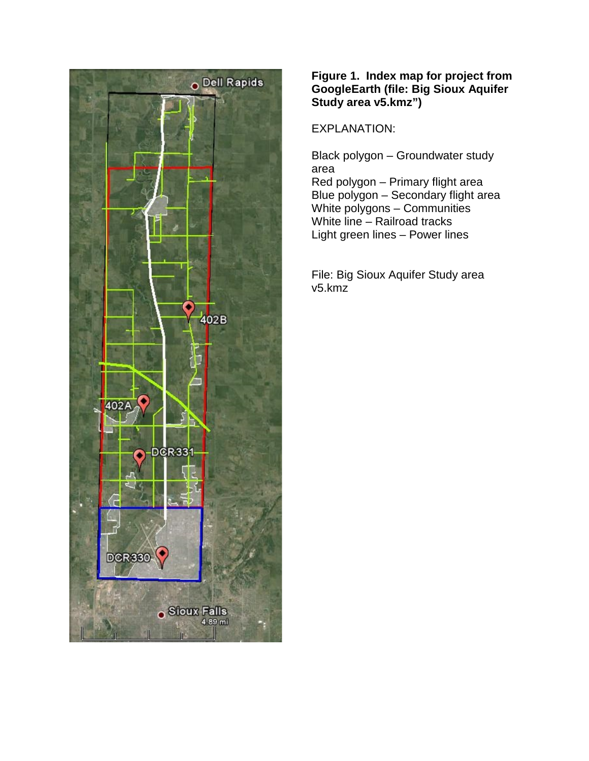

### **Figure 1. Index map for project from GoogleEarth (file: Big Sioux Aquifer Study area v5.kmz")**

EXPLANATION:

Black polygon – Groundwater study area Red polygon – Primary flight area Blue polygon – Secondary flight area White polygons – Communities White line – Railroad tracks Light green lines – Power lines

File: Big Sioux Aquifer Study area v5.kmz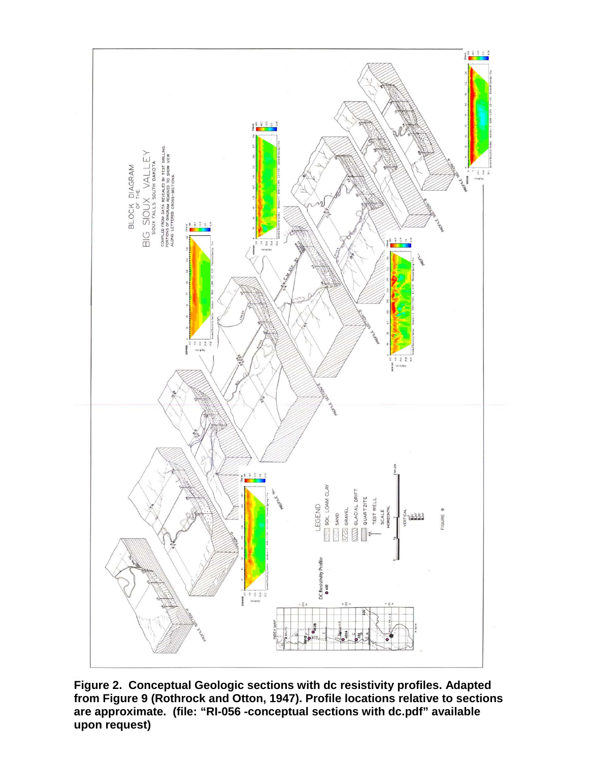

**Figure 2. Conceptual Geologic sections with dc resistivity profiles. Adapted from Figure 9 (Rothrock and Otton, 1947). Profile locations relative to sections are approximate. (file: "RI-056 -conceptual sections with dc.pdf" available upon request)**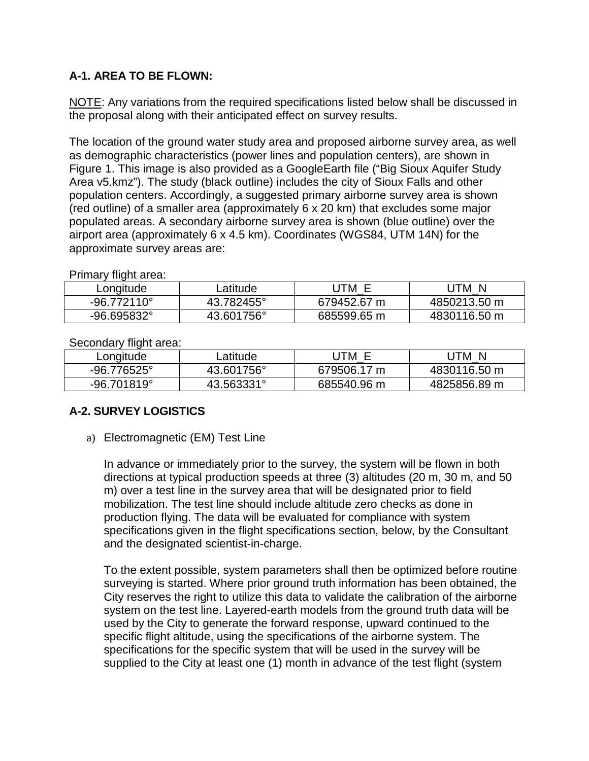## **A-1. AREA TO BE FLOWN:**

NOTE: Any variations from the required specifications listed below shall be discussed in the proposal along with their anticipated effect on survey results.

The location of the ground water study area and proposed airborne survey area, as well as demographic characteristics (power lines and population centers), are shown in Figure 1. This image is also provided as a GoogleEarth file ("Big Sioux Aquifer Study Area v5.kmz"). The study (black outline) includes the city of Sioux Falls and other population centers. Accordingly, a suggested primary airborne survey area is shown (red outline) of a smaller area (approximately 6 x 20 km) that excludes some major populated areas. A secondary airborne survey area is shown (blue outline) over the airport area (approximately 6 x 4.5 km). Coordinates (WGS84, UTM 14N) for the approximate survey areas are:

Primary flight area:

| ∟ongitude            | <sub>-</sub> atitude | ITM.        | N<br>'TM     |
|----------------------|----------------------|-------------|--------------|
| $-96.772110^{\circ}$ | 43.782455°           | 679452.67 m | 4850213.50 m |
| $-96.695832^{\circ}$ | 43.601756°           | 685599.65 m | 4830116.50 m |

| OCCONDIA THUIT AIGA. |            |             |              |  |
|----------------------|------------|-------------|--------------|--|
| Longitude            | ∟atitude   | UTM E       | JTM N        |  |
| -96.776525°          | 43.601756° | 679506.17 m | 4830116.50 m |  |
| $-96.701819^{\circ}$ | 43.563331° | 685540.96 m | 4825856.89 m |  |

Secondary flight area:

## **A-2. SURVEY LOGISTICS**

a) Electromagnetic (EM) Test Line

In advance or immediately prior to the survey, the system will be flown in both directions at typical production speeds at three (3) altitudes (20 m, 30 m, and 50 m) over a test line in the survey area that will be designated prior to field mobilization. The test line should include altitude zero checks as done in production flying. The data will be evaluated for compliance with system specifications given in the flight specifications section, below, by the Consultant and the designated scientist-in-charge.

To the extent possible, system parameters shall then be optimized before routine surveying is started. Where prior ground truth information has been obtained, the City reserves the right to utilize this data to validate the calibration of the airborne system on the test line. Layered-earth models from the ground truth data will be used by the City to generate the forward response, upward continued to the specific flight altitude, using the specifications of the airborne system. The specifications for the specific system that will be used in the survey will be supplied to the City at least one (1) month in advance of the test flight (system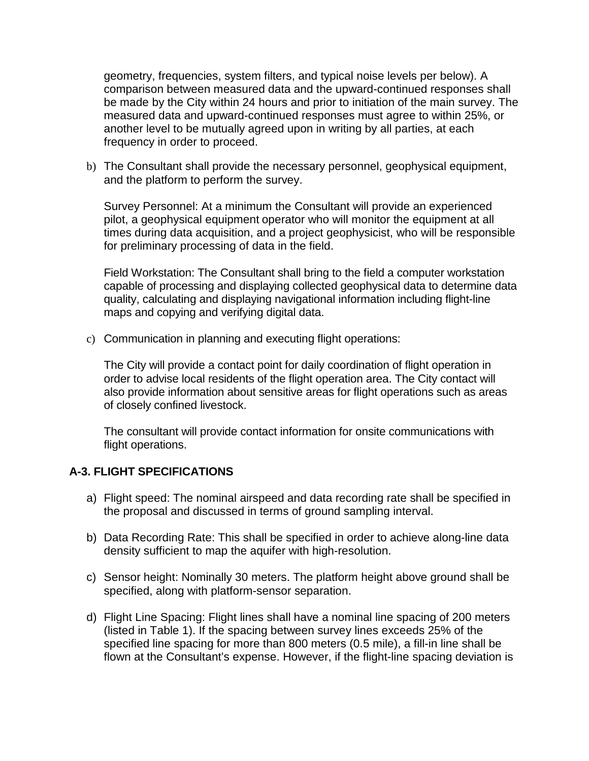geometry, frequencies, system filters, and typical noise levels per below). A comparison between measured data and the upward-continued responses shall be made by the City within 24 hours and prior to initiation of the main survey. The measured data and upward-continued responses must agree to within 25%, or another level to be mutually agreed upon in writing by all parties, at each frequency in order to proceed.

b) The Consultant shall provide the necessary personnel, geophysical equipment, and the platform to perform the survey.

Survey Personnel: At a minimum the Consultant will provide an experienced pilot, a geophysical equipment operator who will monitor the equipment at all times during data acquisition, and a project geophysicist, who will be responsible for preliminary processing of data in the field.

Field Workstation: The Consultant shall bring to the field a computer workstation capable of processing and displaying collected geophysical data to determine data quality, calculating and displaying navigational information including flight-line maps and copying and verifying digital data.

c) Communication in planning and executing flight operations:

The City will provide a contact point for daily coordination of flight operation in order to advise local residents of the flight operation area. The City contact will also provide information about sensitive areas for flight operations such as areas of closely confined livestock.

The consultant will provide contact information for onsite communications with flight operations.

## **A-3. FLIGHT SPECIFICATIONS**

- a) Flight speed: The nominal airspeed and data recording rate shall be specified in the proposal and discussed in terms of ground sampling interval.
- b) Data Recording Rate: This shall be specified in order to achieve along-line data density sufficient to map the aquifer with high-resolution.
- c) Sensor height: Nominally 30 meters. The platform height above ground shall be specified, along with platform-sensor separation.
- d) Flight Line Spacing: Flight lines shall have a nominal line spacing of 200 meters (listed in Table 1). If the spacing between survey lines exceeds 25% of the specified line spacing for more than 800 meters (0.5 mile), a fill-in line shall be flown at the Consultant's expense. However, if the flight-line spacing deviation is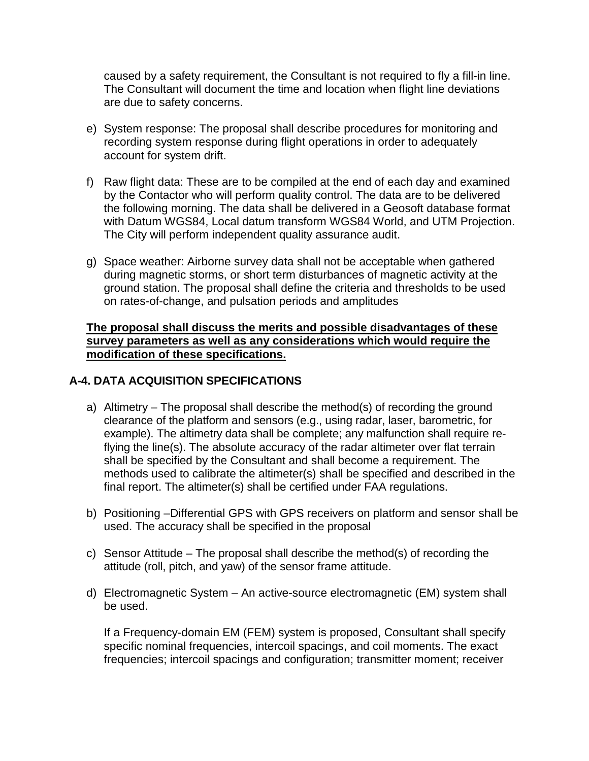caused by a safety requirement, the Consultant is not required to fly a fill-in line. The Consultant will document the time and location when flight line deviations are due to safety concerns.

- e) System response: The proposal shall describe procedures for monitoring and recording system response during flight operations in order to adequately account for system drift.
- f) Raw flight data: These are to be compiled at the end of each day and examined by the Contactor who will perform quality control. The data are to be delivered the following morning. The data shall be delivered in a Geosoft database format with Datum WGS84, Local datum transform WGS84 World, and UTM Projection. The City will perform independent quality assurance audit.
- g) Space weather: Airborne survey data shall not be acceptable when gathered during magnetic storms, or short term disturbances of magnetic activity at the ground station. The proposal shall define the criteria and thresholds to be used on rates-of-change, and pulsation periods and amplitudes

#### **The proposal shall discuss the merits and possible disadvantages of these survey parameters as well as any considerations which would require the modification of these specifications.**

## **A-4. DATA ACQUISITION SPECIFICATIONS**

- a) Altimetry The proposal shall describe the method(s) of recording the ground clearance of the platform and sensors (e.g., using radar, laser, barometric, for example). The altimetry data shall be complete; any malfunction shall require reflying the line(s). The absolute accuracy of the radar altimeter over flat terrain shall be specified by the Consultant and shall become a requirement. The methods used to calibrate the altimeter(s) shall be specified and described in the final report. The altimeter(s) shall be certified under FAA regulations.
- b) Positioning –Differential GPS with GPS receivers on platform and sensor shall be used. The accuracy shall be specified in the proposal
- c) Sensor Attitude The proposal shall describe the method(s) of recording the attitude (roll, pitch, and yaw) of the sensor frame attitude.
- d) Electromagnetic System An active-source electromagnetic (EM) system shall be used.

If a Frequency-domain EM (FEM) system is proposed, Consultant shall specify specific nominal frequencies, intercoil spacings, and coil moments. The exact frequencies; intercoil spacings and configuration; transmitter moment; receiver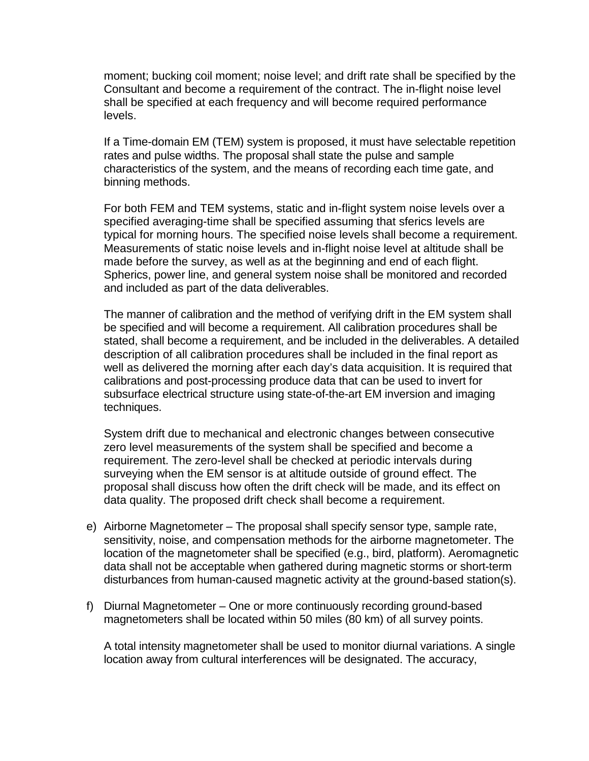moment; bucking coil moment; noise level; and drift rate shall be specified by the Consultant and become a requirement of the contract. The in-flight noise level shall be specified at each frequency and will become required performance levels.

If a Time-domain EM (TEM) system is proposed, it must have selectable repetition rates and pulse widths. The proposal shall state the pulse and sample characteristics of the system, and the means of recording each time gate, and binning methods.

For both FEM and TEM systems, static and in-flight system noise levels over a specified averaging-time shall be specified assuming that sferics levels are typical for morning hours. The specified noise levels shall become a requirement. Measurements of static noise levels and in-flight noise level at altitude shall be made before the survey, as well as at the beginning and end of each flight. Spherics, power line, and general system noise shall be monitored and recorded and included as part of the data deliverables.

The manner of calibration and the method of verifying drift in the EM system shall be specified and will become a requirement. All calibration procedures shall be stated, shall become a requirement, and be included in the deliverables. A detailed description of all calibration procedures shall be included in the final report as well as delivered the morning after each day's data acquisition. It is required that calibrations and post-processing produce data that can be used to invert for subsurface electrical structure using state-of-the-art EM inversion and imaging techniques.

System drift due to mechanical and electronic changes between consecutive zero level measurements of the system shall be specified and become a requirement. The zero-level shall be checked at periodic intervals during surveying when the EM sensor is at altitude outside of ground effect. The proposal shall discuss how often the drift check will be made, and its effect on data quality. The proposed drift check shall become a requirement.

- e) Airborne Magnetometer The proposal shall specify sensor type, sample rate, sensitivity, noise, and compensation methods for the airborne magnetometer. The location of the magnetometer shall be specified (e.g., bird, platform). Aeromagnetic data shall not be acceptable when gathered during magnetic storms or short-term disturbances from human-caused magnetic activity at the ground-based station(s).
- f) Diurnal Magnetometer One or more continuously recording ground-based magnetometers shall be located within 50 miles (80 km) of all survey points.

A total intensity magnetometer shall be used to monitor diurnal variations. A single location away from cultural interferences will be designated. The accuracy,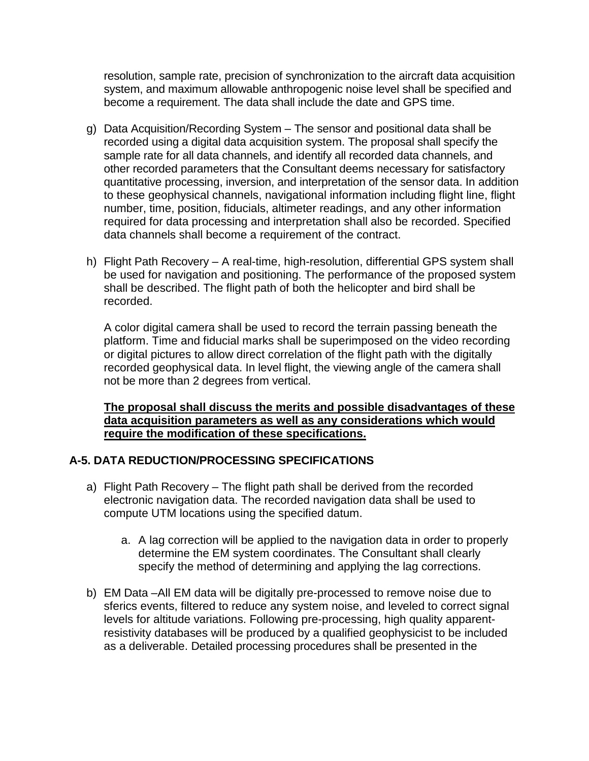resolution, sample rate, precision of synchronization to the aircraft data acquisition system, and maximum allowable anthropogenic noise level shall be specified and become a requirement. The data shall include the date and GPS time.

- g) Data Acquisition/Recording System The sensor and positional data shall be recorded using a digital data acquisition system. The proposal shall specify the sample rate for all data channels, and identify all recorded data channels, and other recorded parameters that the Consultant deems necessary for satisfactory quantitative processing, inversion, and interpretation of the sensor data. In addition to these geophysical channels, navigational information including flight line, flight number, time, position, fiducials, altimeter readings, and any other information required for data processing and interpretation shall also be recorded. Specified data channels shall become a requirement of the contract.
- h) Flight Path Recovery A real-time, high-resolution, differential GPS system shall be used for navigation and positioning. The performance of the proposed system shall be described. The flight path of both the helicopter and bird shall be recorded.

A color digital camera shall be used to record the terrain passing beneath the platform. Time and fiducial marks shall be superimposed on the video recording or digital pictures to allow direct correlation of the flight path with the digitally recorded geophysical data. In level flight, the viewing angle of the camera shall not be more than 2 degrees from vertical.

### **The proposal shall discuss the merits and possible disadvantages of these data acquisition parameters as well as any considerations which would require the modification of these specifications.**

#### **A-5. DATA REDUCTION/PROCESSING SPECIFICATIONS**

- a) Flight Path Recovery The flight path shall be derived from the recorded electronic navigation data. The recorded navigation data shall be used to compute UTM locations using the specified datum.
	- a. A lag correction will be applied to the navigation data in order to properly determine the EM system coordinates. The Consultant shall clearly specify the method of determining and applying the lag corrections.
- b) EM Data –All EM data will be digitally pre-processed to remove noise due to sferics events, filtered to reduce any system noise, and leveled to correct signal levels for altitude variations. Following pre-processing, high quality apparentresistivity databases will be produced by a qualified geophysicist to be included as a deliverable. Detailed processing procedures shall be presented in the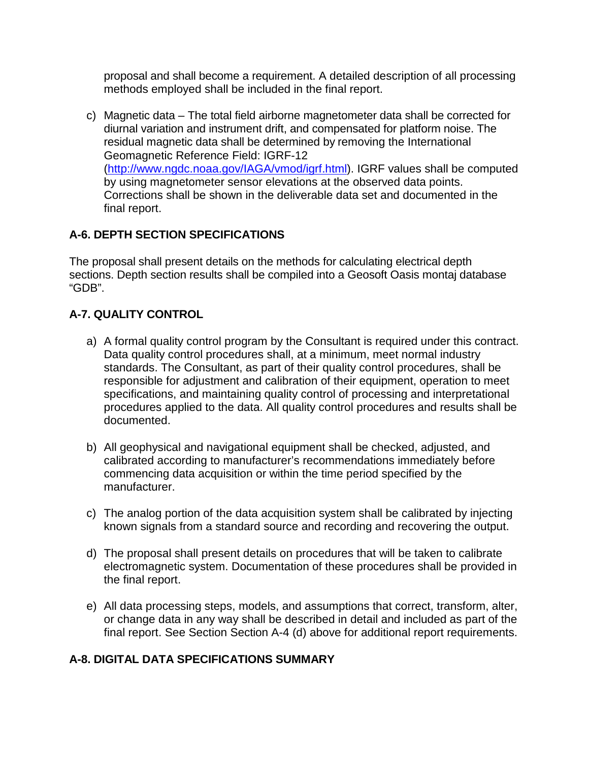proposal and shall become a requirement. A detailed description of all processing methods employed shall be included in the final report.

c) Magnetic data – The total field airborne magnetometer data shall be corrected for diurnal variation and instrument drift, and compensated for platform noise. The residual magnetic data shall be determined by removing the International Geomagnetic Reference Field: IGRF-12 [\(http://www.ngdc.noaa.gov/IAGA/vmod/igrf.html\)](http://www.ngdc.noaa.gov/IAGA/vmod/igrf.html). IGRF values shall be computed by using magnetometer sensor elevations at the observed data points. Corrections shall be shown in the deliverable data set and documented in the final report.

## **A-6. DEPTH SECTION SPECIFICATIONS**

The proposal shall present details on the methods for calculating electrical depth sections. Depth section results shall be compiled into a Geosoft Oasis montaj database "GDB".

# **A-7. QUALITY CONTROL**

- a) A formal quality control program by the Consultant is required under this contract. Data quality control procedures shall, at a minimum, meet normal industry standards. The Consultant, as part of their quality control procedures, shall be responsible for adjustment and calibration of their equipment, operation to meet specifications, and maintaining quality control of processing and interpretational procedures applied to the data. All quality control procedures and results shall be documented.
- b) All geophysical and navigational equipment shall be checked, adjusted, and calibrated according to manufacturer's recommendations immediately before commencing data acquisition or within the time period specified by the manufacturer.
- c) The analog portion of the data acquisition system shall be calibrated by injecting known signals from a standard source and recording and recovering the output.
- d) The proposal shall present details on procedures that will be taken to calibrate electromagnetic system. Documentation of these procedures shall be provided in the final report.
- e) All data processing steps, models, and assumptions that correct, transform, alter, or change data in any way shall be described in detail and included as part of the final report. See Section Section A-4 (d) above for additional report requirements.

## **A-8. DIGITAL DATA SPECIFICATIONS SUMMARY**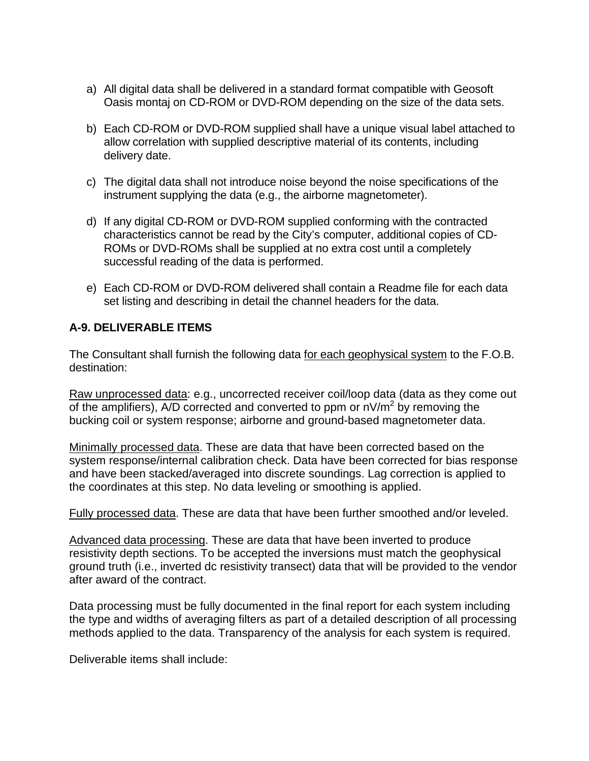- a) All digital data shall be delivered in a standard format compatible with Geosoft Oasis montaj on CD-ROM or DVD-ROM depending on the size of the data sets.
- b) Each CD-ROM or DVD-ROM supplied shall have a unique visual label attached to allow correlation with supplied descriptive material of its contents, including delivery date.
- c) The digital data shall not introduce noise beyond the noise specifications of the instrument supplying the data (e.g., the airborne magnetometer).
- d) If any digital CD-ROM or DVD-ROM supplied conforming with the contracted characteristics cannot be read by the City's computer, additional copies of CD-ROMs or DVD-ROMs shall be supplied at no extra cost until a completely successful reading of the data is performed.
- e) Each CD-ROM or DVD-ROM delivered shall contain a Readme file for each data set listing and describing in detail the channel headers for the data.

## **A-9. DELIVERABLE ITEMS**

The Consultant shall furnish the following data for each geophysical system to the F.O.B. destination:

Raw unprocessed data: e.g., uncorrected receiver coil/loop data (data as they come out of the amplifiers), A/D corrected and converted to ppm or  $nV/m<sup>2</sup>$  by removing the bucking coil or system response; airborne and ground-based magnetometer data.

Minimally processed data. These are data that have been corrected based on the system response/internal calibration check. Data have been corrected for bias response and have been stacked/averaged into discrete soundings. Lag correction is applied to the coordinates at this step. No data leveling or smoothing is applied.

Fully processed data. These are data that have been further smoothed and/or leveled.

Advanced data processing. These are data that have been inverted to produce resistivity depth sections. To be accepted the inversions must match the geophysical ground truth (i.e., inverted dc resistivity transect) data that will be provided to the vendor after award of the contract.

Data processing must be fully documented in the final report for each system including the type and widths of averaging filters as part of a detailed description of all processing methods applied to the data. Transparency of the analysis for each system is required.

Deliverable items shall include: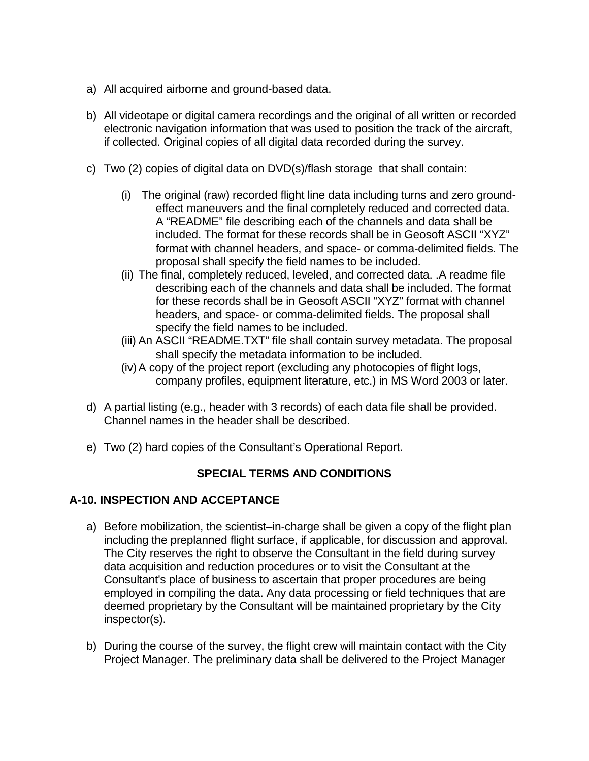- a) All acquired airborne and ground-based data.
- b) All videotape or digital camera recordings and the original of all written or recorded electronic navigation information that was used to position the track of the aircraft, if collected. Original copies of all digital data recorded during the survey.
- c) Two (2) copies of digital data on DVD(s)/flash storage that shall contain:
	- (i) The original (raw) recorded flight line data including turns and zero groundeffect maneuvers and the final completely reduced and corrected data. A "README" file describing each of the channels and data shall be included. The format for these records shall be in Geosoft ASCII "XYZ" format with channel headers, and space- or comma-delimited fields. The proposal shall specify the field names to be included.
	- (ii) The final, completely reduced, leveled, and corrected data. .A readme file describing each of the channels and data shall be included. The format for these records shall be in Geosoft ASCII "XYZ" format with channel headers, and space- or comma-delimited fields. The proposal shall specify the field names to be included.
	- (iii) An ASCII "README.TXT" file shall contain survey metadata. The proposal shall specify the metadata information to be included.
	- (iv)A copy of the project report (excluding any photocopies of flight logs, company profiles, equipment literature, etc.) in MS Word 2003 or later.
- d) A partial listing (e.g., header with 3 records) of each data file shall be provided. Channel names in the header shall be described.
- e) Two (2) hard copies of the Consultant's Operational Report.

## **SPECIAL TERMS AND CONDITIONS**

#### **A-10. INSPECTION AND ACCEPTANCE**

- a) Before mobilization, the scientist–in-charge shall be given a copy of the flight plan including the preplanned flight surface, if applicable, for discussion and approval. The City reserves the right to observe the Consultant in the field during survey data acquisition and reduction procedures or to visit the Consultant at the Consultant's place of business to ascertain that proper procedures are being employed in compiling the data. Any data processing or field techniques that are deemed proprietary by the Consultant will be maintained proprietary by the City inspector(s).
- b) During the course of the survey, the flight crew will maintain contact with the City Project Manager. The preliminary data shall be delivered to the Project Manager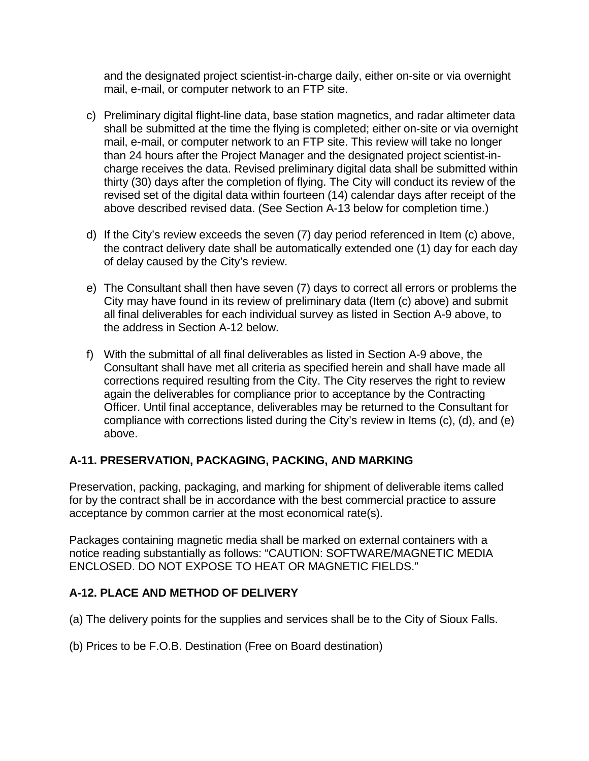and the designated project scientist-in-charge daily, either on-site or via overnight mail, e-mail, or computer network to an FTP site.

- c) Preliminary digital flight-line data, base station magnetics, and radar altimeter data shall be submitted at the time the flying is completed; either on-site or via overnight mail, e-mail, or computer network to an FTP site. This review will take no longer than 24 hours after the Project Manager and the designated project scientist-incharge receives the data. Revised preliminary digital data shall be submitted within thirty (30) days after the completion of flying. The City will conduct its review of the revised set of the digital data within fourteen (14) calendar days after receipt of the above described revised data. (See Section A-13 below for completion time.)
- d) If the City's review exceeds the seven (7) day period referenced in Item (c) above, the contract delivery date shall be automatically extended one (1) day for each day of delay caused by the City's review.
- e) The Consultant shall then have seven (7) days to correct all errors or problems the City may have found in its review of preliminary data (Item (c) above) and submit all final deliverables for each individual survey as listed in Section A-9 above, to the address in Section A-12 below.
- f) With the submittal of all final deliverables as listed in Section A-9 above, the Consultant shall have met all criteria as specified herein and shall have made all corrections required resulting from the City. The City reserves the right to review again the deliverables for compliance prior to acceptance by the Contracting Officer. Until final acceptance, deliverables may be returned to the Consultant for compliance with corrections listed during the City's review in Items (c), (d), and (e) above.

## **A-11. PRESERVATION, PACKAGING, PACKING, AND MARKING**

Preservation, packing, packaging, and marking for shipment of deliverable items called for by the contract shall be in accordance with the best commercial practice to assure acceptance by common carrier at the most economical rate(s).

Packages containing magnetic media shall be marked on external containers with a notice reading substantially as follows: "CAUTION: SOFTWARE/MAGNETIC MEDIA ENCLOSED. DO NOT EXPOSE TO HEAT OR MAGNETIC FIELDS."

## **A-12. PLACE AND METHOD OF DELIVERY**

- (a) The delivery points for the supplies and services shall be to the City of Sioux Falls.
- (b) Prices to be F.O.B. Destination (Free on Board destination)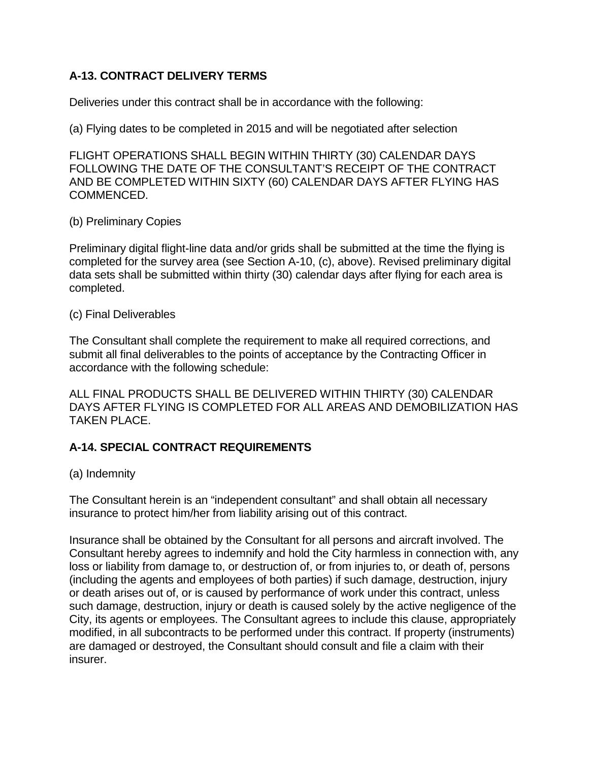## **A-13. CONTRACT DELIVERY TERMS**

Deliveries under this contract shall be in accordance with the following:

(a) Flying dates to be completed in 2015 and will be negotiated after selection

FLIGHT OPERATIONS SHALL BEGIN WITHIN THIRTY (30) CALENDAR DAYS FOLLOWING THE DATE OF THE CONSULTANT'S RECEIPT OF THE CONTRACT AND BE COMPLETED WITHIN SIXTY (60) CALENDAR DAYS AFTER FLYING HAS COMMENCED.

#### (b) Preliminary Copies

Preliminary digital flight-line data and/or grids shall be submitted at the time the flying is completed for the survey area (see Section A-10, (c), above). Revised preliminary digital data sets shall be submitted within thirty (30) calendar days after flying for each area is completed.

#### (c) Final Deliverables

The Consultant shall complete the requirement to make all required corrections, and submit all final deliverables to the points of acceptance by the Contracting Officer in accordance with the following schedule:

ALL FINAL PRODUCTS SHALL BE DELIVERED WITHIN THIRTY (30) CALENDAR DAYS AFTER FLYING IS COMPLETED FOR ALL AREAS AND DEMOBILIZATION HAS TAKEN PLACE.

## **A-14. SPECIAL CONTRACT REQUIREMENTS**

#### (a) Indemnity

The Consultant herein is an "independent consultant" and shall obtain all necessary insurance to protect him/her from liability arising out of this contract.

Insurance shall be obtained by the Consultant for all persons and aircraft involved. The Consultant hereby agrees to indemnify and hold the City harmless in connection with, any loss or liability from damage to, or destruction of, or from injuries to, or death of, persons (including the agents and employees of both parties) if such damage, destruction, injury or death arises out of, or is caused by performance of work under this contract, unless such damage, destruction, injury or death is caused solely by the active negligence of the City, its agents or employees. The Consultant agrees to include this clause, appropriately modified, in all subcontracts to be performed under this contract. If property (instruments) are damaged or destroyed, the Consultant should consult and file a claim with their insurer.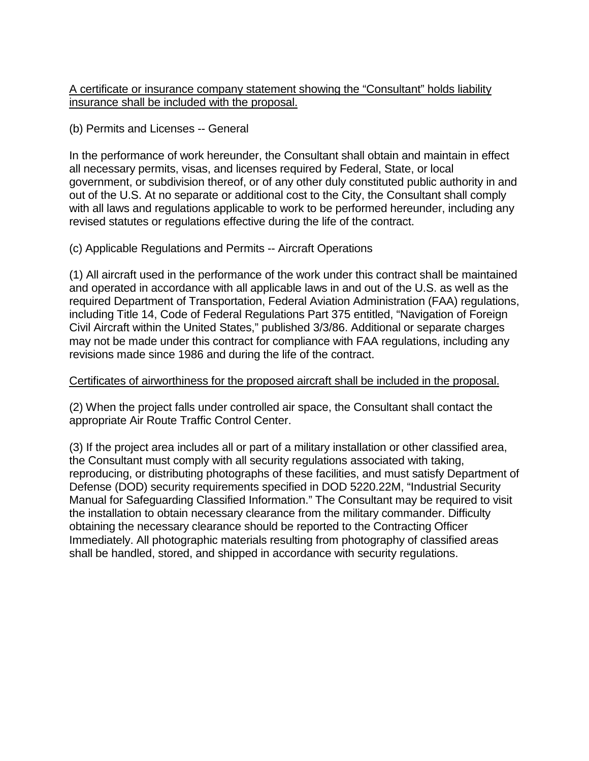A certificate or insurance company statement showing the "Consultant" holds liability insurance shall be included with the proposal.

(b) Permits and Licenses -- General

In the performance of work hereunder, the Consultant shall obtain and maintain in effect all necessary permits, visas, and licenses required by Federal, State, or local government, or subdivision thereof, or of any other duly constituted public authority in and out of the U.S. At no separate or additional cost to the City, the Consultant shall comply with all laws and regulations applicable to work to be performed hereunder, including any revised statutes or regulations effective during the life of the contract.

(c) Applicable Regulations and Permits -- Aircraft Operations

(1) All aircraft used in the performance of the work under this contract shall be maintained and operated in accordance with all applicable laws in and out of the U.S. as well as the required Department of Transportation, Federal Aviation Administration (FAA) regulations, including Title 14, Code of Federal Regulations Part 375 entitled, "Navigation of Foreign Civil Aircraft within the United States," published 3/3/86. Additional or separate charges may not be made under this contract for compliance with FAA regulations, including any revisions made since 1986 and during the life of the contract.

#### Certificates of airworthiness for the proposed aircraft shall be included in the proposal.

(2) When the project falls under controlled air space, the Consultant shall contact the appropriate Air Route Traffic Control Center.

(3) If the project area includes all or part of a military installation or other classified area, the Consultant must comply with all security regulations associated with taking, reproducing, or distributing photographs of these facilities, and must satisfy Department of Defense (DOD) security requirements specified in DOD 5220.22M, "Industrial Security Manual for Safeguarding Classified Information." The Consultant may be required to visit the installation to obtain necessary clearance from the military commander. Difficulty obtaining the necessary clearance should be reported to the Contracting Officer Immediately. All photographic materials resulting from photography of classified areas shall be handled, stored, and shipped in accordance with security regulations.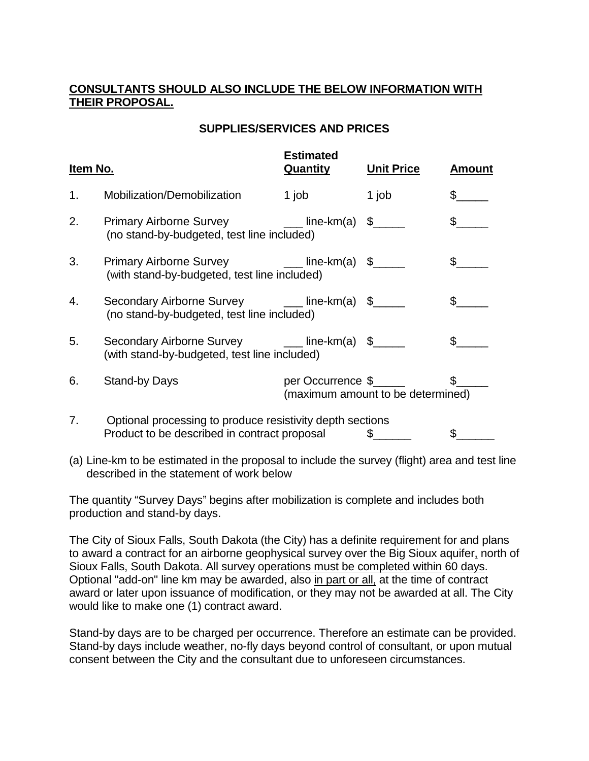### **CONSULTANTS SHOULD ALSO INCLUDE THE BELOW INFORMATION WITH THEIR PROPOSAL.**

#### **SUPPLIES/SERVICES AND PRICES**

| Item No. |                                                                                                           | <b>Estimated</b><br>Quantity | <b>Unit Price</b>                 | <b>Amount</b> |
|----------|-----------------------------------------------------------------------------------------------------------|------------------------------|-----------------------------------|---------------|
| 1.       | Mobilization/Demobilization                                                                               | 1 job                        | 1 job                             |               |
| 2.       | <b>Primary Airborne Survey</b><br>(no stand-by-budgeted, test line included)                              | ____ line-km(a) \$_____      |                                   |               |
| 3.       | <b>Primary Airborne Survey</b><br>(with stand-by-budgeted, test line included)                            | ____ line-km(a) \$_____      |                                   |               |
| 4.       | Secondary Airborne Survey ______ line-km(a) \$_____<br>(no stand-by-budgeted, test line included)         |                              |                                   |               |
| 5.       | Secondary Airborne Survey ______ line-km(a) \$_____<br>(with stand-by-budgeted, test line included)       |                              |                                   |               |
| 6.       | <b>Stand-by Days</b>                                                                                      | per Occurrence \$            | (maximum amount to be determined) |               |
| 7.       | Optional processing to produce resistivity depth sections<br>Product to be described in contract proposal |                              | \$.                               |               |

(a) Line-km to be estimated in the proposal to include the survey (flight) area and test line described in the statement of work below

The quantity "Survey Days" begins after mobilization is complete and includes both production and stand-by days.

The City of Sioux Falls, South Dakota (the City) has a definite requirement for and plans to award a contract for an airborne geophysical survey over the Big Sioux aquifer, north of Sioux Falls, South Dakota. All survey operations must be completed within 60 days. Optional "add-on" line km may be awarded, also in part or all, at the time of contract award or later upon issuance of modification, or they may not be awarded at all. The City would like to make one (1) contract award.

Stand-by days are to be charged per occurrence. Therefore an estimate can be provided. Stand-by days include weather, no-fly days beyond control of consultant, or upon mutual consent between the City and the consultant due to unforeseen circumstances.